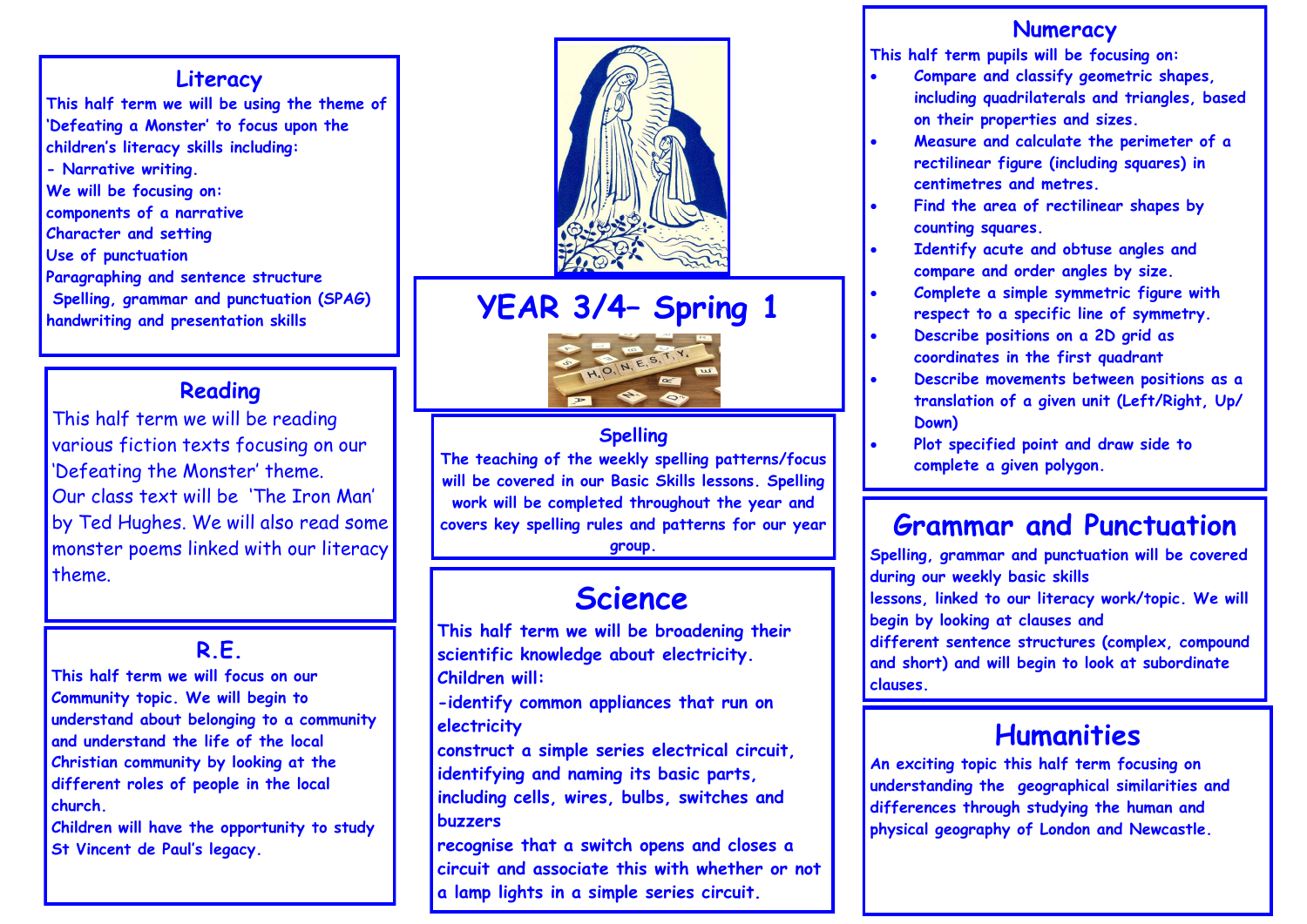#### **Literacy**

**This half term we will be using the theme of 'Defeating a Monster' to focus upon the children's literacy skills including: - Narrative writing. We will be focusing on: components of a narrative Character and setting Use of punctuation Paragraphing and sentence structure Spelling, grammar and punctuation (SPAG) handwriting and presentation skills**

### **Reading**

This half term we will be reading various fiction texts focusing on our 'Defeating the Monster' theme. Our class text will be 'The Iron Man' by Ted Hughes. We will also read some monster poems linked with our literacy theme.

### **R.E.**

**This half term we will focus on our Community topic. We will begin to understand about belonging to a community and understand the life of the local Christian community by looking at the different roles of people in the local church.**

**Children will have the opportunity to study St Vincent de Paul's legacy.**



# **YEAR 3/4– Spring 1**



#### **Spelling**

**The teaching of the weekly spelling patterns/focus will be covered in our Basic Skills lessons. Spelling work will be completed throughout the year and covers key spelling rules and patterns for our year** 

#### **group.**

# **Science**

**This half term we will be broadening their scientific knowledge about electricity. Children will:**

**-identify common appliances that run on electricity**

**construct a simple series electrical circuit, identifying and naming its basic parts, including cells, wires, bulbs, switches and buzzers**

**recognise that a switch opens and closes a circuit and associate this with whether or not a lamp lights in a simple series circuit.**

#### **Numeracy**

**This half term pupils will be focusing on:**

- **Compare and classify geometric shapes, including quadrilaterals and triangles, based on their properties and sizes.**
- **Measure and calculate the perimeter of a rectilinear figure (including squares) in centimetres and metres.**
- **Find the area of rectilinear shapes by counting squares.**
- **Identify acute and obtuse angles and compare and order angles by size.**
- **Complete a simple symmetric figure with respect to a specific line of symmetry.**
- **Describe positions on a 2D grid as coordinates in the first quadrant**
- **Describe movements between positions as a translation of a given unit (Left/Right, Up/ Down)**
- **Plot specified point and draw side to complete a given polygon.**

# **Grammar and Punctuation**

**Spelling, grammar and punctuation will be covered during our weekly basic skills lessons, linked to our literacy work/topic. We will begin by looking at clauses and different sentence structures (complex, compound and short) and will begin to look at subordinate clauses.** 

# **Humanities**

**An exciting topic this half term focusing on understanding the geographical similarities and differences through studying the human and physical geography of London and Newcastle.**